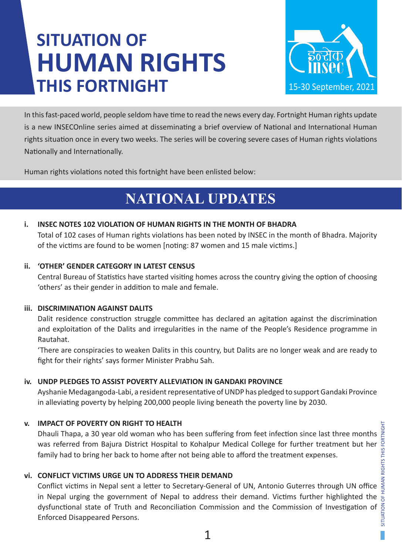# **SITUATION OF HUMAN RIGHTS THIS FORTNIGHT**



In this fast-paced world, people seldom have time to read the news every day. Fortnight Human rights update is a new INSECOnline series aimed at disseminating a brief overview of National and International Human rights situation once in every two weeks. The series will be covering severe cases of Human rights violations Nationally and Internationally.

Human rights violations noted this fortnight have been enlisted below:

## **NATIONAL UPDATES**

### **i. INSEC NOTES 102 VIOLATION OF HUMAN RIGHTS IN THE MONTH OF BHADRA**

Total of 102 cases of Human rights violations has been noted by INSEC in the month of Bhadra. Majority of the victims are found to be women [noting: 87 women and 15 male victims.]

### **ii. 'OTHER' GENDER CATEGORY IN LATEST CENSUS**

Central Bureau of Statistics have started visiting homes across the country giving the option of choosing 'others' as their gender in addition to male and female.

### **iii. DISCRIMINATION AGAINST DALITS**

Dalit residence construction struggle committee has declared an agitation against the discrimination and exploitation of the Dalits and irregularities in the name of the People's Residence programme in Rautahat.

'There are conspiracies to weaken Dalits in this country, but Dalits are no longer weak and are ready to fight for their rights' says former Minister Prabhu Sah.

### **iv. UNDP PLEDGES TO ASSIST POVERTY ALLEVIATION IN GANDAKI PROVINCE**

Ayshanie Medagangoda-Labi, a resident representative of UNDP has pledged to support Gandaki Province in alleviating poverty by helping 200,000 people living beneath the poverty line by 2030.

### **v. IMPACT OF POVERTY ON RIGHT TO HEALTH**

Dhauli Thapa, a 30 year old woman who has been suffering from feet infection since last three months was referred from Bajura District Hospital to Kohalpur Medical College for further treatment but her family had to bring her back to home after not being able to afford the treatment expenses.

### **vi. CONFLICT VICTIMS URGE UN TO ADDRESS THEIR DEMAND**

Conflict victims in Nepal sent a letter to Secretary-General of UN, Antonio Guterres through UN office in Nepal urging the government of Nepal to address their demand. Victims further highlighted the  $\frac{1}{\Theta}$ dysfunctional state of Truth and Reconciliation Commission and the Commission of Investigation of Enforced Disappeared Persons.